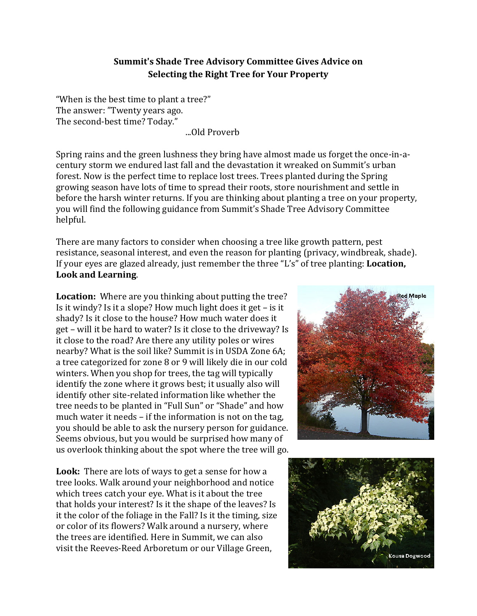## **Summit's Shade Tree Advisory Committee Gives Advice on Selecting the Right Tree for Your Property**

"When is the best time to plant a tree?" The answer: "Twenty years ago. The second-best time? Today."

...Old Proverb

Spring rains and the green lushness they bring have almost made us forget the once-in-acentury storm we endured last fall and the devastation it wreaked on Summit's urban forest. Now is the perfect time to replace lost trees. Trees planted during the Spring growing season have lots of time to spread their roots, store nourishment and settle in before the harsh winter returns. If you are thinking about planting a tree on your property, you will find the following guidance from Summit's Shade Tree Advisory Committee helpful.

There are many factors to consider when choosing a tree like growth pattern, pest resistance, seasonal interest, and even the reason for planting (privacy, windbreak, shade). If your eyes are glazed already, just remember the three "L's" of tree planting: **Location, Look and Learning**.

**Location:** Where are you thinking about putting the tree? Is it windy? Is it a slope? How much light does it get – is it shady? Is it close to the house? How much water does it get – will it be hard to water? Is it close to the driveway? Is it close to the road? Are there any utility poles or wires nearby? What is the soil like? Summit is in USDA Zone 6A; a tree categorized for zone 8 or 9 will likely die in our cold winters. When you shop for trees, the tag will typically identify the zone where it grows best; it usually also will identify other site-related information like whether the tree needs to be planted in "Full Sun" or "Shade" and how much water it needs – if the information is not on the tag, you should be able to ask the nursery person for guidance. Seems obvious, but you would be surprised how many of us overlook thinking about the spot where the tree will go.

**Look:** There are lots of ways to get a sense for how a tree looks. Walk around your neighborhood and notice which trees catch your eye. What is it about the tree that holds your interest? Is it the shape of the leaves? Is it the color of the foliage in the Fall? Is it the timing, size or color of its flowers? Walk around a nursery, where the trees are identified. Here in Summit, we can also visit the Reeves-Reed Arboretum or our Village Green,



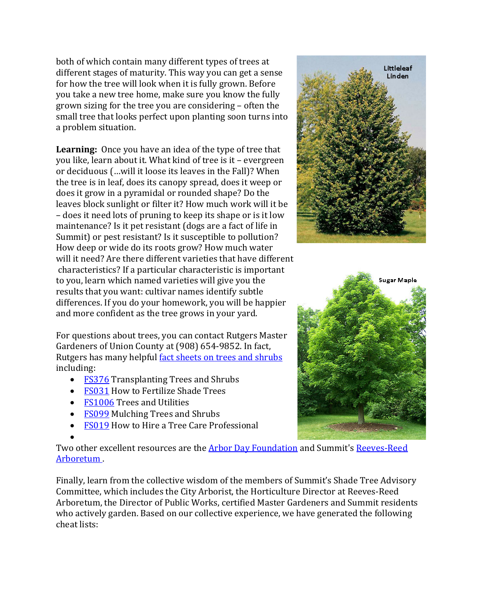both of which contain many different types of trees at different stages of maturity. This way you can get a sense for how the tree will look when it is fully grown. Before you take a new tree home, make sure you know the fully grown sizing for the tree you are considering – often the small tree that looks perfect upon planting soon turns into a problem situation.

**Learning:** Once you have an idea of the type of tree that you like, learn about it. What kind of tree is it – evergreen or deciduous (…will it loose its leaves in the Fall)? When the tree is in leaf, does its canopy spread, does it weep or does it grow in a pyramidal or rounded shape? Do the leaves block sunlight or filter it? How much work will it be – does it need lots of pruning to keep its shape or is it low maintenance? Is it pet resistant (dogs are a fact of life in Summit) or pest resistant? Is it susceptible to pollution? How deep or wide do its roots grow? How much water will it need? Are there different varieties that have different characteristics? If a particular characteristic is important to you, learn which named varieties will give you the results that you want: cultivar names identify subtle differences. If you do your homework, you will be happier and more confident as the tree grows in your yard.

For questions about trees, you can contact Rutgers Master Gardeners of Union County at (908) 654-9852. In fact, Rutgers has many helpful [fact sheets on trees and shrubs](http://njaes.rutgers.edu/pubs/subcategory.asp?cat=5&sub=41) including:

- [FS376](http://njaes.rutgers.edu/pubs/publication.asp?pid=FS376) Transplanting Trees and Shrubs
- [FS031](http://njaes.rutgers.edu/pubs/publication.asp?pid=FS031) How to Fertilize Shade Trees
- [FS1006](http://njaes.rutgers.edu/pubs/publication.asp?pid=FS1006) Trees and Utilities
- [FS099](http://njaes.rutgers.edu/pubs/publication.asp?pid=FS099) Mulching Trees and Shrubs
- [FS019](http://njaes.rutgers.edu/pubs/publication.asp?pid=FS019) How to Hire a Tree Care Professional

• Two other excellent resources are the **Arbor Day Foundation** and Summit's [Reeves-Reed](http://www.reeves-reedarboretum.org/) [Arboretum](http://www.reeves-reedarboretum.org/) .

Finally, learn from the collective wisdom of the members of Summit's Shade Tree Advisory Committee, which includes the City Arborist, the Horticulture Director at Reeves-Reed Arboretum, the Director of Public Works, certified Master Gardeners and Summit residents who actively garden. Based on our collective experience, we have generated the following cheat lists: